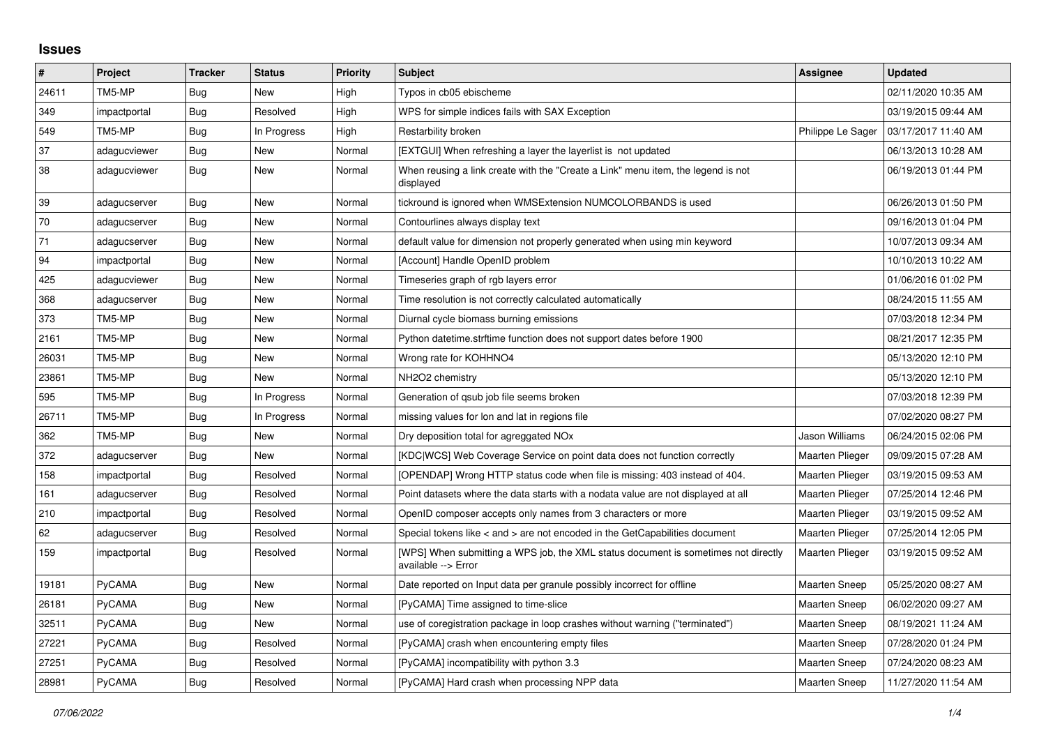## **Issues**

| $\pmb{\#}$ | Project       | <b>Tracker</b> | <b>Status</b> | <b>Priority</b> | <b>Subject</b>                                                                                            | Assignee               | <b>Updated</b>      |
|------------|---------------|----------------|---------------|-----------------|-----------------------------------------------------------------------------------------------------------|------------------------|---------------------|
| 24611      | TM5-MP        | Bug            | New           | High            | Typos in cb05 ebischeme                                                                                   |                        | 02/11/2020 10:35 AM |
| 349        | impactportal  | <b>Bug</b>     | Resolved      | High            | WPS for simple indices fails with SAX Exception                                                           |                        | 03/19/2015 09:44 AM |
| 549        | TM5-MP        | Bug            | In Progress   | High            | Restarbility broken                                                                                       | Philippe Le Sager      | 03/17/2017 11:40 AM |
| 37         | adagucviewer  | Bug            | New           | Normal          | [EXTGUI] When refreshing a layer the layerlist is not updated                                             |                        | 06/13/2013 10:28 AM |
| 38         | adagucviewer  | Bug            | New           | Normal          | When reusing a link create with the "Create a Link" menu item, the legend is not<br>displayed             |                        | 06/19/2013 01:44 PM |
| 39         | adagucserver  | Bug            | <b>New</b>    | Normal          | tickround is ignored when WMSExtension NUMCOLORBANDS is used                                              |                        | 06/26/2013 01:50 PM |
| 70         | adagucserver  | Bug            | New           | Normal          | Contourlines always display text                                                                          |                        | 09/16/2013 01:04 PM |
| 71         | adagucserver  | Bug            | New           | Normal          | default value for dimension not properly generated when using min keyword                                 |                        | 10/07/2013 09:34 AM |
| 94         | impactportal  | Bug            | New           | Normal          | [Account] Handle OpenID problem                                                                           |                        | 10/10/2013 10:22 AM |
| 425        | adagucviewer  | Bug            | New           | Normal          | Timeseries graph of rgb layers error                                                                      |                        | 01/06/2016 01:02 PM |
| 368        | adagucserver  | Bug            | New           | Normal          | Time resolution is not correctly calculated automatically                                                 |                        | 08/24/2015 11:55 AM |
| 373        | TM5-MP        | Bug            | New           | Normal          | Diurnal cycle biomass burning emissions                                                                   |                        | 07/03/2018 12:34 PM |
| 2161       | TM5-MP        | Bug            | New           | Normal          | Python datetime.strftime function does not support dates before 1900                                      |                        | 08/21/2017 12:35 PM |
| 26031      | TM5-MP        | Bug            | New           | Normal          | Wrong rate for KOHHNO4                                                                                    |                        | 05/13/2020 12:10 PM |
| 23861      | TM5-MP        | Bug            | New           | Normal          | NH <sub>2</sub> O <sub>2</sub> chemistry                                                                  |                        | 05/13/2020 12:10 PM |
| 595        | TM5-MP        | <b>Bug</b>     | In Progress   | Normal          | Generation of qsub job file seems broken                                                                  |                        | 07/03/2018 12:39 PM |
| 26711      | TM5-MP        | Bug            | In Progress   | Normal          | missing values for lon and lat in regions file                                                            |                        | 07/02/2020 08:27 PM |
| 362        | TM5-MP        | <b>Bug</b>     | New           | Normal          | Dry deposition total for agreggated NOx                                                                   | Jason Williams         | 06/24/2015 02:06 PM |
| 372        | adagucserver  | Bug            | New           | Normal          | [KDC WCS] Web Coverage Service on point data does not function correctly                                  | <b>Maarten Plieger</b> | 09/09/2015 07:28 AM |
| 158        | impactportal  | Bug            | Resolved      | Normal          | [OPENDAP] Wrong HTTP status code when file is missing: 403 instead of 404.                                | Maarten Plieger        | 03/19/2015 09:53 AM |
| 161        | adagucserver  | Bug            | Resolved      | Normal          | Point datasets where the data starts with a nodata value are not displayed at all                         | <b>Maarten Plieger</b> | 07/25/2014 12:46 PM |
| 210        | impactportal  | Bug            | Resolved      | Normal          | OpenID composer accepts only names from 3 characters or more                                              | <b>Maarten Plieger</b> | 03/19/2015 09:52 AM |
| 62         | adagucserver  | Bug            | Resolved      | Normal          | Special tokens like < and > are not encoded in the GetCapabilities document                               | <b>Maarten Plieger</b> | 07/25/2014 12:05 PM |
| 159        | impactportal  | Bug            | Resolved      | Normal          | [WPS] When submitting a WPS job, the XML status document is sometimes not directly<br>available --> Error | <b>Maarten Plieger</b> | 03/19/2015 09:52 AM |
| 19181      | <b>PyCAMA</b> | Bug            | New           | Normal          | Date reported on Input data per granule possibly incorrect for offline                                    | <b>Maarten Sneep</b>   | 05/25/2020 08:27 AM |
| 26181      | PyCAMA        | <b>Bug</b>     | New           | Normal          | [PyCAMA] Time assigned to time-slice                                                                      | Maarten Sneep          | 06/02/2020 09:27 AM |
| 32511      | PyCAMA        | Bug            | New           | Normal          | use of coregistration package in loop crashes without warning ("terminated")                              | <b>Maarten Sneep</b>   | 08/19/2021 11:24 AM |
| 27221      | <b>PyCAMA</b> | <b>Bug</b>     | Resolved      | Normal          | [PyCAMA] crash when encountering empty files                                                              | <b>Maarten Sneep</b>   | 07/28/2020 01:24 PM |
| 27251      | PyCAMA        | <b>Bug</b>     | Resolved      | Normal          | [PyCAMA] incompatibility with python 3.3                                                                  | <b>Maarten Sneep</b>   | 07/24/2020 08:23 AM |
| 28981      | <b>PyCAMA</b> | <b>Bug</b>     | Resolved      | Normal          | [PyCAMA] Hard crash when processing NPP data                                                              | <b>Maarten Sneep</b>   | 11/27/2020 11:54 AM |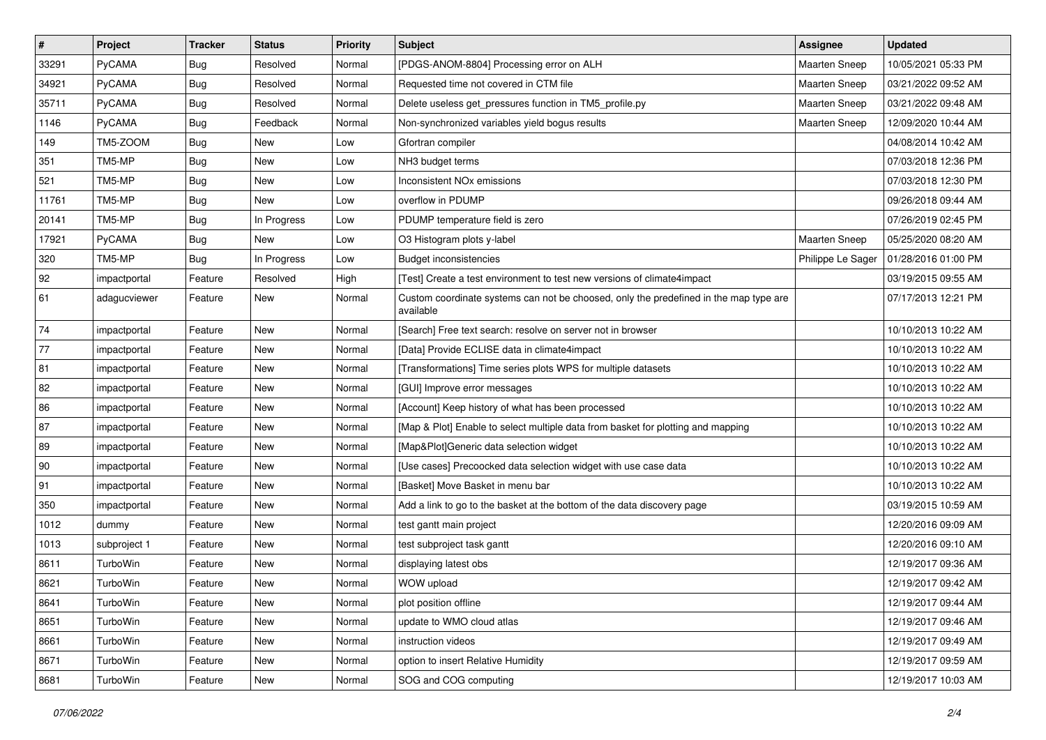| $\pmb{\#}$ | Project      | <b>Tracker</b> | <b>Status</b> | Priority | <b>Subject</b>                                                                                     | Assignee             | <b>Updated</b>      |
|------------|--------------|----------------|---------------|----------|----------------------------------------------------------------------------------------------------|----------------------|---------------------|
| 33291      | PyCAMA       | <b>Bug</b>     | Resolved      | Normal   | [PDGS-ANOM-8804] Processing error on ALH                                                           | Maarten Sneep        | 10/05/2021 05:33 PM |
| 34921      | PyCAMA       | Bug            | Resolved      | Normal   | Requested time not covered in CTM file                                                             | <b>Maarten Sneep</b> | 03/21/2022 09:52 AM |
| 35711      | PyCAMA       | <b>Bug</b>     | Resolved      | Normal   | Delete useless get pressures function in TM5 profile.py                                            | Maarten Sneep        | 03/21/2022 09:48 AM |
| 1146       | PyCAMA       | Bug            | Feedback      | Normal   | Non-synchronized variables yield bogus results                                                     | <b>Maarten Sneep</b> | 12/09/2020 10:44 AM |
| 149        | TM5-ZOOM     | Bug            | <b>New</b>    | Low      | Gfortran compiler                                                                                  |                      | 04/08/2014 10:42 AM |
| 351        | TM5-MP       | <b>Bug</b>     | New           | Low      | NH3 budget terms                                                                                   |                      | 07/03/2018 12:36 PM |
| 521        | TM5-MP       | <b>Bug</b>     | New           | Low      | Inconsistent NO <sub>x</sub> emissions                                                             |                      | 07/03/2018 12:30 PM |
| 11761      | TM5-MP       | <b>Bug</b>     | New           | Low      | overflow in PDUMP                                                                                  |                      | 09/26/2018 09:44 AM |
| 20141      | TM5-MP       | <b>Bug</b>     | In Progress   | Low      | PDUMP temperature field is zero                                                                    |                      | 07/26/2019 02:45 PM |
| 17921      | PyCAMA       | <b>Bug</b>     | New           | Low      | O3 Histogram plots y-label                                                                         | Maarten Sneep        | 05/25/2020 08:20 AM |
| 320        | TM5-MP       | <b>Bug</b>     | In Progress   | Low      | <b>Budget inconsistencies</b>                                                                      | Philippe Le Sager    | 01/28/2016 01:00 PM |
| 92         | impactportal | Feature        | Resolved      | High     | [Test] Create a test environment to test new versions of climate4impact                            |                      | 03/19/2015 09:55 AM |
| 61         | adagucviewer | Feature        | New           | Normal   | Custom coordinate systems can not be choosed, only the predefined in the map type are<br>available |                      | 07/17/2013 12:21 PM |
| 74         | impactportal | Feature        | New           | Normal   | [Search] Free text search: resolve on server not in browser                                        |                      | 10/10/2013 10:22 AM |
| 77         | impactportal | Feature        | New           | Normal   | [Data] Provide ECLISE data in climate4impact                                                       |                      | 10/10/2013 10:22 AM |
| 81         | impactportal | Feature        | <b>New</b>    | Normal   | [Transformations] Time series plots WPS for multiple datasets                                      |                      | 10/10/2013 10:22 AM |
| 82         | impactportal | Feature        | <b>New</b>    | Normal   | [GUI] Improve error messages                                                                       |                      | 10/10/2013 10:22 AM |
| 86         | impactportal | Feature        | New           | Normal   | [Account] Keep history of what has been processed                                                  |                      | 10/10/2013 10:22 AM |
| 87         | impactportal | Feature        | New           | Normal   | [Map & Plot] Enable to select multiple data from basket for plotting and mapping                   |                      | 10/10/2013 10:22 AM |
| 89         | impactportal | Feature        | <b>New</b>    | Normal   | [Map&Plot]Generic data selection widget                                                            |                      | 10/10/2013 10:22 AM |
| 90         | impactportal | Feature        | <b>New</b>    | Normal   | [Use cases] Precoocked data selection widget with use case data                                    |                      | 10/10/2013 10:22 AM |
| 91         | impactportal | Feature        | New           | Normal   | [Basket] Move Basket in menu bar                                                                   |                      | 10/10/2013 10:22 AM |
| 350        | impactportal | Feature        | New           | Normal   | Add a link to go to the basket at the bottom of the data discovery page                            |                      | 03/19/2015 10:59 AM |
| 1012       | dummy        | Feature        | New           | Normal   | test gantt main project                                                                            |                      | 12/20/2016 09:09 AM |
| 1013       | subproject 1 | Feature        | <b>New</b>    | Normal   | test subproject task gantt                                                                         |                      | 12/20/2016 09:10 AM |
| 8611       | TurboWin     | Feature        | New           | Normal   | displaying latest obs                                                                              |                      | 12/19/2017 09:36 AM |
| 8621       | TurboWin     | Feature        | New           | Normal   | WOW upload                                                                                         |                      | 12/19/2017 09:42 AM |
| 8641       | TurboWin     | Feature        | New           | Normal   | plot position offline                                                                              |                      | 12/19/2017 09:44 AM |
| 8651       | TurboWin     | Feature        | New           | Normal   | update to WMO cloud atlas                                                                          |                      | 12/19/2017 09:46 AM |
| 8661       | TurboWin     | Feature        | New           | Normal   | instruction videos                                                                                 |                      | 12/19/2017 09:49 AM |
| 8671       | TurboWin     | Feature        | New           | Normal   | option to insert Relative Humidity                                                                 |                      | 12/19/2017 09:59 AM |
| 8681       | TurboWin     | Feature        | New           | Normal   | SOG and COG computing                                                                              |                      | 12/19/2017 10:03 AM |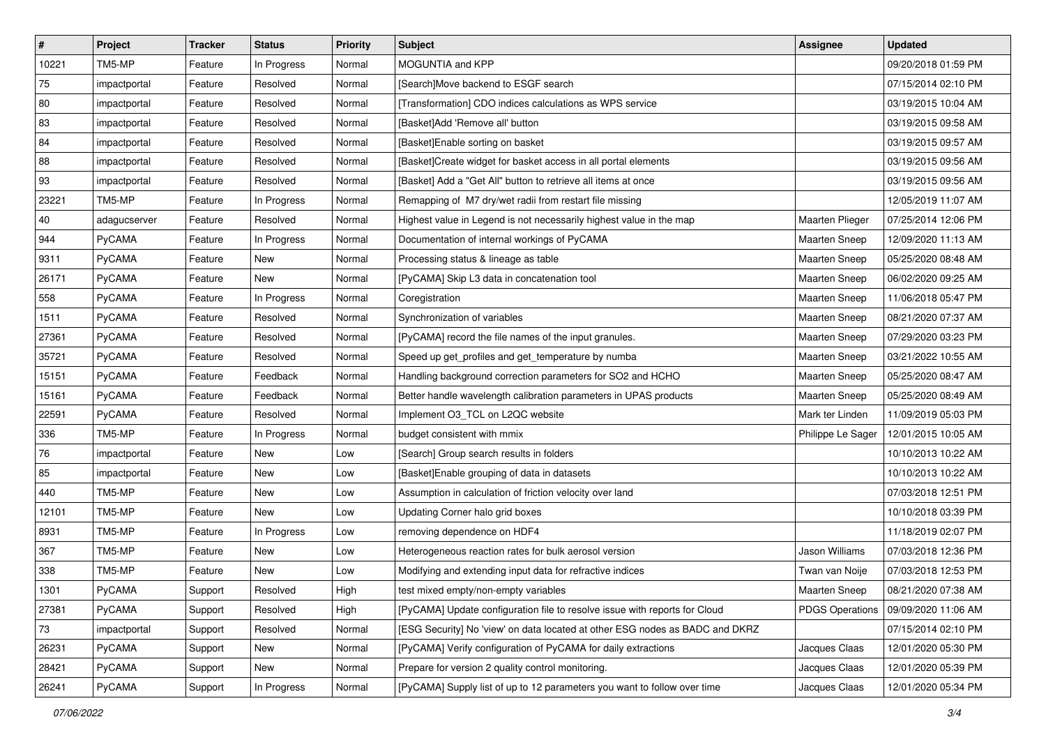| $\vert$ #    | Project      | <b>Tracker</b> | <b>Status</b> | <b>Priority</b> | <b>Subject</b>                                                               | Assignee               | <b>Updated</b>      |
|--------------|--------------|----------------|---------------|-----------------|------------------------------------------------------------------------------|------------------------|---------------------|
| 10221        | TM5-MP       | Feature        | In Progress   | Normal          | MOGUNTIA and KPP                                                             |                        | 09/20/2018 01:59 PM |
| 75           | impactportal | Feature        | Resolved      | Normal          | [Search]Move backend to ESGF search                                          |                        | 07/15/2014 02:10 PM |
| 80           | impactportal | Feature        | Resolved      | Normal          | [Transformation] CDO indices calculations as WPS service                     |                        | 03/19/2015 10:04 AM |
| 83           | impactportal | Feature        | Resolved      | Normal          | [Basket]Add 'Remove all' button                                              |                        | 03/19/2015 09:58 AM |
| 84           | impactportal | Feature        | Resolved      | Normal          | [Basket]Enable sorting on basket                                             |                        | 03/19/2015 09:57 AM |
| 88           | impactportal | Feature        | Resolved      | Normal          | [Basket]Create widget for basket access in all portal elements               |                        | 03/19/2015 09:56 AM |
| 93           | impactportal | Feature        | Resolved      | Normal          | [Basket] Add a "Get All" button to retrieve all items at once                |                        | 03/19/2015 09:56 AM |
| 23221        | TM5-MP       | Feature        | In Progress   | Normal          | Remapping of M7 dry/wet radii from restart file missing                      |                        | 12/05/2019 11:07 AM |
| $ 40\rangle$ | adagucserver | Feature        | Resolved      | Normal          | Highest value in Legend is not necessarily highest value in the map          | Maarten Plieger        | 07/25/2014 12:06 PM |
| 944          | PyCAMA       | Feature        | In Progress   | Normal          | Documentation of internal workings of PyCAMA                                 | Maarten Sneep          | 12/09/2020 11:13 AM |
| 9311         | PyCAMA       | Feature        | New           | Normal          | Processing status & lineage as table                                         | <b>Maarten Sneep</b>   | 05/25/2020 08:48 AM |
| 26171        | PyCAMA       | Feature        | <b>New</b>    | Normal          | [PyCAMA] Skip L3 data in concatenation tool                                  | <b>Maarten Sneep</b>   | 06/02/2020 09:25 AM |
| 558          | PyCAMA       | Feature        | In Progress   | Normal          | Coregistration                                                               | Maarten Sneep          | 11/06/2018 05:47 PM |
| 1511         | PyCAMA       | Feature        | Resolved      | Normal          | Synchronization of variables                                                 | Maarten Sneep          | 08/21/2020 07:37 AM |
| 27361        | PyCAMA       | Feature        | Resolved      | Normal          | [PyCAMA] record the file names of the input granules.                        | Maarten Sneep          | 07/29/2020 03:23 PM |
| 35721        | PyCAMA       | Feature        | Resolved      | Normal          | Speed up get_profiles and get_temperature by numba                           | <b>Maarten Sneep</b>   | 03/21/2022 10:55 AM |
| 15151        | PyCAMA       | Feature        | Feedback      | Normal          | Handling background correction parameters for SO2 and HCHO                   | Maarten Sneep          | 05/25/2020 08:47 AM |
| 15161        | PyCAMA       | Feature        | Feedback      | Normal          | Better handle wavelength calibration parameters in UPAS products             | Maarten Sneep          | 05/25/2020 08:49 AM |
| 22591        | PyCAMA       | Feature        | Resolved      | Normal          | Implement O3_TCL on L2QC website                                             | Mark ter Linden        | 11/09/2019 05:03 PM |
| 336          | TM5-MP       | Feature        | In Progress   | Normal          | budget consistent with mmix                                                  | Philippe Le Sager      | 12/01/2015 10:05 AM |
| 76           | impactportal | Feature        | New           | Low             | [Search] Group search results in folders                                     |                        | 10/10/2013 10:22 AM |
| 85           | impactportal | Feature        | New           | Low             | [Basket]Enable grouping of data in datasets                                  |                        | 10/10/2013 10:22 AM |
| 440          | TM5-MP       | Feature        | <b>New</b>    | Low             | Assumption in calculation of friction velocity over land                     |                        | 07/03/2018 12:51 PM |
| 12101        | TM5-MP       | Feature        | New           | Low             | Updating Corner halo grid boxes                                              |                        | 10/10/2018 03:39 PM |
| 8931         | TM5-MP       | Feature        | In Progress   | Low             | removing dependence on HDF4                                                  |                        | 11/18/2019 02:07 PM |
| 367          | TM5-MP       | Feature        | New           | Low             | Heterogeneous reaction rates for bulk aerosol version                        | Jason Williams         | 07/03/2018 12:36 PM |
| 338          | TM5-MP       | Feature        | New           | Low             | Modifying and extending input data for refractive indices                    | Twan van Noije         | 07/03/2018 12:53 PM |
| 1301         | PyCAMA       | Support        | Resolved      | High            | test mixed empty/non-empty variables                                         | Maarten Sneep          | 08/21/2020 07:38 AM |
| 27381        | PyCAMA       | Support        | Resolved      | High            | [PyCAMA] Update configuration file to resolve issue with reports for Cloud   | <b>PDGS Operations</b> | 09/09/2020 11:06 AM |
| 73           | impactportal | Support        | Resolved      | Normal          | [ESG Security] No 'view' on data located at other ESG nodes as BADC and DKRZ |                        | 07/15/2014 02:10 PM |
| 26231        | PyCAMA       | Support        | New           | Normal          | [PyCAMA] Verify configuration of PyCAMA for daily extractions                | Jacques Claas          | 12/01/2020 05:30 PM |
| 28421        | PyCAMA       | Support        | New           | Normal          | Prepare for version 2 quality control monitoring.                            | Jacques Claas          | 12/01/2020 05:39 PM |
| 26241        | PyCAMA       | Support        | In Progress   | Normal          | [PyCAMA] Supply list of up to 12 parameters you want to follow over time     | Jacques Claas          | 12/01/2020 05:34 PM |